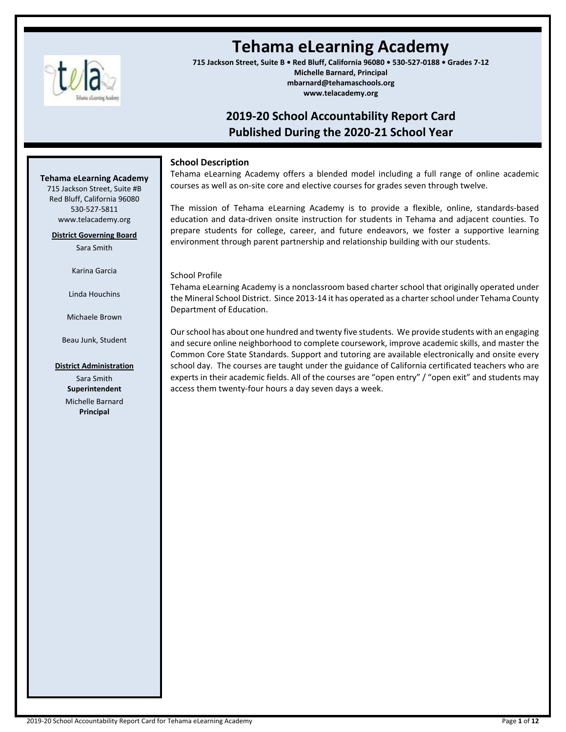

# **Tehama eLearning Academy**

**715 Jackson Street, Suite B • Red Bluff, California 96080 • 530-527-0188 • Grades 7-12 Michelle Barnard, Principal mbarnard@tehamaschools.org www.telacademy.org**

# **2019-20 School Accountability Report Card Published During the 2020-21 School Year**

# **School Description**

Tehama eLearning Academy offers a blended model including a full range of online academic courses as well as on-site core and elective courses for grades seven through twelve.

The mission of Tehama eLearning Academy is to provide a flexible, online, standards-based education and data-driven onsite instruction for students in Tehama and adjacent counties. To prepare students for college, career, and future endeavors, we foster a supportive learning environment through parent partnership and relationship building with our students.

#### School Profile

Tehama eLearning Academy is a nonclassroom based charter school that originally operated under the Mineral School District. Since 2013-14 it has operated as a charterschool under Tehama County Department of Education.

Ourschool has about one hundred and twenty five students. We provide students with an engaging and secure online neighborhood to complete coursework, improve academic skills, and master the Common Core State Standards. Support and tutoring are available electronically and onsite every school day. The courses are taught under the guidance of California certificated teachers who are experts in their academic fields. All of the courses are "open entry" / "open exit" and students may access them twenty-four hours a day seven days a week.

#### **Tehama eLearning Academy**

715 Jackson Street, Suite #B Red Bluff, California 96080 530-527-5811 www.telacademy.org

#### **District Governing Board**

Sara Smith

Karina Garcia

Linda Houchins

Michaele Brown

Beau Junk, Student

#### **District Administration**

Sara Smith **Superintendent** Michelle Barnard **Principal**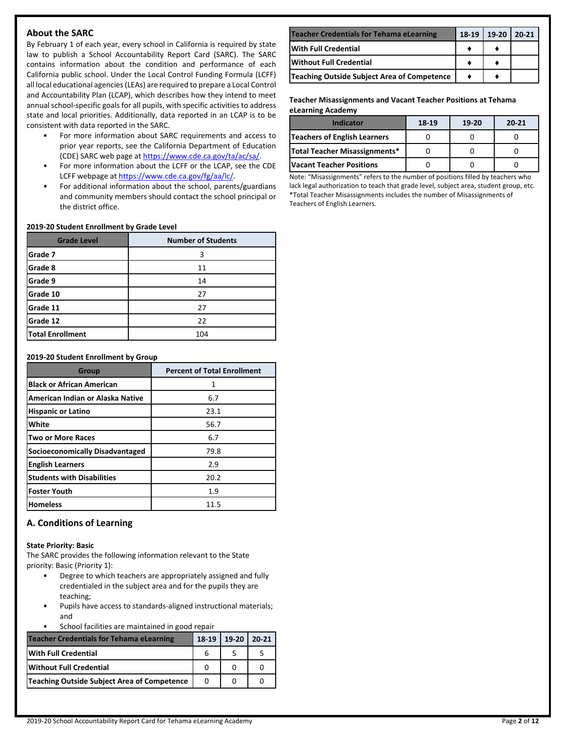# **About the SARC**

By February 1 of each year, every school in California is required by state law to publish a School Accountability Report Card (SARC). The SARC contains information about the condition and performance of each California public school. Under the Local Control Funding Formula (LCFF) all local educational agencies(LEAs) are required to prepare a Local Control and Accountability Plan (LCAP), which describes how they intend to meet annual school-specific goals for all pupils, with specific activities to address state and local priorities. Additionally, data reported in an LCAP is to be consistent with data reported in the SARC.

- For more information about SARC requirements and access to prior year reports, see the California Department of Education (CDE) SARC web page at [https://www.cde.ca.gov/ta/ac/sa/.](https://www.cde.ca.gov/ta/ac/sa/)
- For more information about the LCFF or the LCAP, see the CDE LCFF webpage at [https://www.cde.ca.gov/fg/aa/lc/.](https://www.cde.ca.gov/fg/aa/lc/)
- For additional information about the school, parents/guardians and community members should contact the school principal or the district office.

#### **2019-20 Student Enrollment by Grade Level**

| <b>Grade Level</b>      | <b>Number of Students</b> |
|-------------------------|---------------------------|
| <b>Grade 7</b>          | 3                         |
| Grade 8                 | 11                        |
| Grade 9                 | 14                        |
| Grade 10                | 27                        |
| Grade 11                | 27                        |
| Grade 12                | 22                        |
| <b>Total Enrollment</b> | 104                       |

#### **2019-20 Student Enrollment by Group**

| Group                             | <b>Percent of Total Enrollment</b> |
|-----------------------------------|------------------------------------|
| <b>Black or African American</b>  | 1                                  |
| American Indian or Alaska Native  | 6.7                                |
| <b>Hispanic or Latino</b>         | 23.1                               |
| White                             | 56.7                               |
| <b>Two or More Races</b>          | 6.7                                |
| Socioeconomically Disadvantaged   | 79.8                               |
| <b>English Learners</b>           | 2.9                                |
| <b>Students with Disabilities</b> | 20.2                               |
| <b>Foster Youth</b>               | 1.9                                |
| <b>Homeless</b>                   | 11.5                               |

# **A. Conditions of Learning**

#### **State Priority: Basic**

The SARC provides the following information relevant to the State priority: Basic (Priority 1):

- Degree to which teachers are appropriately assigned and fully credentialed in the subject area and for the pupils they are teaching;
- Pupils have access to standards-aligned instructional materials; and
- School facilities are maintained in good repair

| Teacher Credentials for Tehama eLearning    |  | $19-20$ | $20 - 21$ |
|---------------------------------------------|--|---------|-----------|
| <b>With Full Credential</b>                 |  |         |           |
| Without Full Credential                     |  |         |           |
| Teaching Outside Subject Area of Competence |  |         |           |

| Teacher Credentials for Tehama eLearning    | 18-19 | 19-20 | $20 - 21$ |
|---------------------------------------------|-------|-------|-----------|
| <b>IWith Full Credential</b>                |       |       |           |
| lWithout Full Credential                    |       |       |           |
| Teaching Outside Subject Area of Competence |       |       |           |

**Teacher Misassignments and Vacant Teacher Positions at Tehama eLearning Academy**

| <b>Indicator</b>                | 18-19 | 19-20 | $20 - 21$ |
|---------------------------------|-------|-------|-----------|
| Teachers of English Learners    |       |       |           |
| Total Teacher Misassignments*   |       |       |           |
| <b>Vacant Teacher Positions</b> |       |       |           |

Note: "Misassignments" refers to the number of positions filled by teachers who lack legal authorization to teach that grade level, subject area, student group, etc. \*Total Teacher Misassignments includes the number of Misassignments of Teachers of English Learners.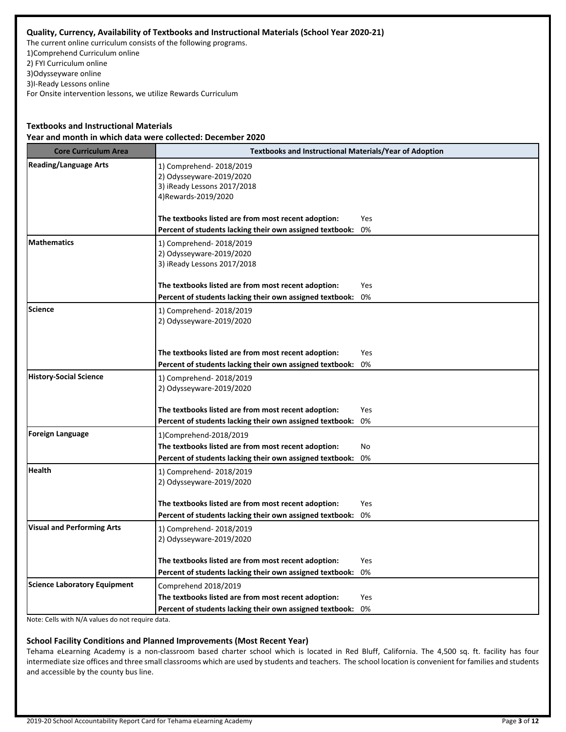# **Quality, Currency, Availability of Textbooks and Instructional Materials (School Year 2020-21)**

The current online curriculum consists of the following programs.

1)Comprehend Curriculum online 2) FYI Curriculum online 3)Odysseyware online

3)I-Ready Lessons online For Onsite intervention lessons, we utilize Rewards Curriculum

# **Textbooks and Instructional Materials**

**Year and month in which data were collected: December 2020**

| <b>Core Curriculum Area</b>         | <b>Textbooks and Instructional Materials/Year of Adoption</b>                                              |            |
|-------------------------------------|------------------------------------------------------------------------------------------------------------|------------|
| <b>Reading/Language Arts</b>        | 1) Comprehend-2018/2019<br>2) Odysseyware-2019/2020<br>3) iReady Lessons 2017/2018<br>4) Rewards-2019/2020 |            |
|                                     | The textbooks listed are from most recent adoption:                                                        | <b>Yes</b> |
|                                     | Percent of students lacking their own assigned textbook:                                                   | 0%         |
| <b>IMathematics</b>                 | 1) Comprehend-2018/2019<br>2) Odysseyware-2019/2020<br>3) iReady Lessons 2017/2018                         |            |
|                                     | The textbooks listed are from most recent adoption:                                                        | Yes        |
|                                     | Percent of students lacking their own assigned textbook:                                                   | 0%         |
| <b>Science</b>                      | 1) Comprehend-2018/2019<br>2) Odysseyware-2019/2020                                                        |            |
|                                     | The textbooks listed are from most recent adoption:                                                        | <b>Yes</b> |
|                                     | Percent of students lacking their own assigned textbook:                                                   | 0%         |
| History-Social Science              | 1) Comprehend-2018/2019<br>2) Odysseyware-2019/2020                                                        |            |
|                                     | The textbooks listed are from most recent adoption:                                                        | Yes        |
|                                     | Percent of students lacking their own assigned textbook:                                                   | 0%         |
| <b> Foreign Language</b>            | 1)Comprehend-2018/2019                                                                                     |            |
|                                     | The textbooks listed are from most recent adoption:                                                        | No         |
|                                     | Percent of students lacking their own assigned textbook:                                                   | 0%         |
| <b>Health</b>                       | 1) Comprehend-2018/2019<br>2) Odysseyware-2019/2020                                                        |            |
|                                     | The textbooks listed are from most recent adoption:                                                        | Yes        |
|                                     | Percent of students lacking their own assigned textbook:                                                   | 0%         |
| <b>Visual and Performing Arts</b>   | 1) Comprehend-2018/2019<br>2) Odysseyware-2019/2020                                                        |            |
|                                     | The textbooks listed are from most recent adoption:                                                        | Yes        |
|                                     | Percent of students lacking their own assigned textbook:                                                   | 0%         |
| <b>Science Laboratory Equipment</b> | Comprehend 2018/2019                                                                                       |            |
|                                     | The textbooks listed are from most recent adoption:                                                        | Yes        |
|                                     | Percent of students lacking their own assigned textbook:                                                   | 0%         |

Note: Cells with N/A values do not require data.

## **School Facility Conditions and Planned Improvements (Most Recent Year)**

Tehama eLearning Academy is a non-classroom based charter school which is located in Red Bluff, California. The 4,500 sq. ft. facility has four intermediate size offices and three small classrooms which are used by students and teachers. The school location is convenient for families and students and accessible by the county bus line.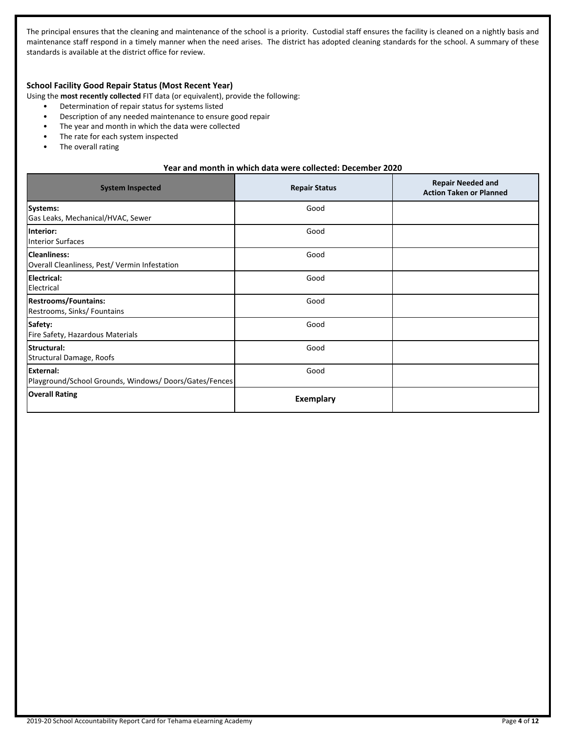The principal ensures that the cleaning and maintenance of the school is a priority. Custodial staff ensures the facility is cleaned on a nightly basis and maintenance staff respond in a timely manner when the need arises. The district has adopted cleaning standards for the school. A summary of these standards is available at the district office for review.

# **School Facility Good Repair Status (Most Recent Year)**

Using the **most recently collected** FIT data (or equivalent), provide the following:

- Determination of repair status for systems listed
- Description of any needed maintenance to ensure good repair
- The year and month in which the data were collected
- The rate for each system inspected
- The overall rating

## **Year and month in which data were collected: December 2020**

| <b>System Inspected</b>                                             | <b>Repair Status</b> | <b>Repair Needed and</b><br><b>Action Taken or Planned</b> |
|---------------------------------------------------------------------|----------------------|------------------------------------------------------------|
| Systems:<br>Gas Leaks, Mechanical/HVAC, Sewer                       | Good                 |                                                            |
| Interior:<br>Interior Surfaces                                      | Good                 |                                                            |
| <b>Cleanliness:</b><br>Overall Cleanliness, Pest/Vermin Infestation | Good                 |                                                            |
| Electrical:<br>Electrical                                           | Good                 |                                                            |
| Restrooms/Fountains:<br>Restrooms, Sinks/ Fountains                 | Good                 |                                                            |
| Safety:<br>Fire Safety, Hazardous Materials                         | Good                 |                                                            |
| Structural:<br>Structural Damage, Roofs                             | Good                 |                                                            |
| External:<br>Playground/School Grounds, Windows/Doors/Gates/Fences  | Good                 |                                                            |
| <b>Overall Rating</b>                                               | <b>Exemplary</b>     |                                                            |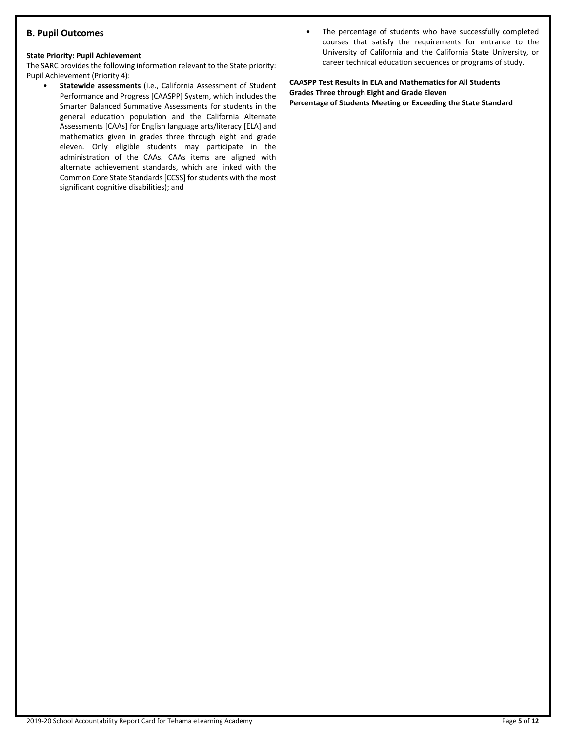# **B. Pupil Outcomes**

#### **State Priority: Pupil Achievement**

The SARC provides the following information relevant to the State priority: Pupil Achievement (Priority 4):

- **Statewide assessments** (i.e., California Assessment of Student Performance and Progress [CAASPP] System, which includes the Smarter Balanced Summative Assessments for students in the general education population and the California Alternate Assessments [CAAs] for English language arts/literacy [ELA] and mathematics given in grades three through eight and grade eleven. Only eligible students may participate in the administration of the CAAs. CAAs items are aligned with alternate achievement standards, which are linked with the Common Core State Standards [CCSS] for students with the most significant cognitive disabilities); and
- The percentage of students who have successfully completed courses that satisfy the requirements for entrance to the University of California and the California State University, or career technical education sequences or programs of study.

**CAASPP Test Results in ELA and Mathematics for All Students Grades Three through Eight and Grade Eleven Percentage of Students Meeting or Exceeding the State Standard**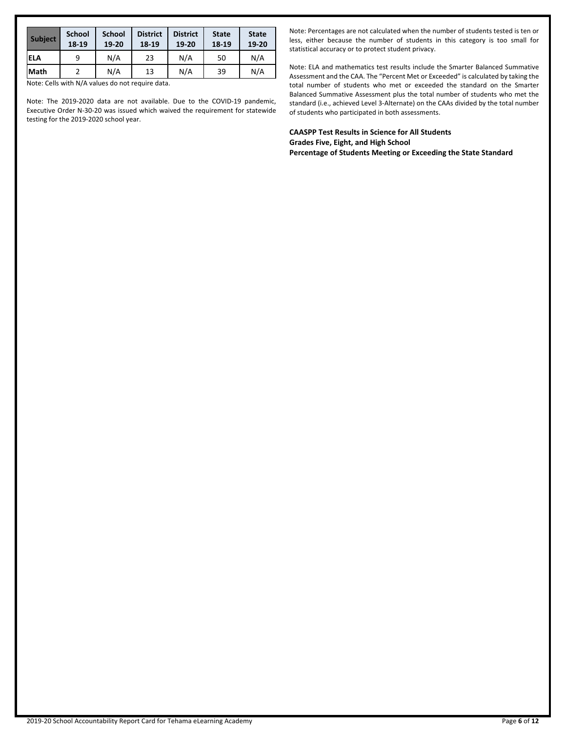| <b>Subject</b> | <b>School</b><br>18-19 | <b>School</b><br>19-20 | <b>District</b><br>18-19 | <b>District</b><br>19-20 | <b>State</b><br>18-19 | <b>State</b><br>19-20 |
|----------------|------------------------|------------------------|--------------------------|--------------------------|-----------------------|-----------------------|
| <b>ELA</b>     | 9                      | N/A                    | 23                       | N/A                      | 50                    | N/A                   |
| lMath          |                        | N/A                    | 13                       | N/A                      | 39                    | N/A                   |

Note: Cells with N/A values do not require data.

Note: The 2019-2020 data are not available. Due to the COVID-19 pandemic, Executive Order N-30-20 was issued which waived the requirement for statewide testing for the 2019-2020 school year.

Note: Percentages are not calculated when the number of students tested is ten or less, either because the number of students in this category is too small for statistical accuracy or to protect student privacy.

Note: ELA and mathematics test results include the Smarter Balanced Summative Assessment and the CAA. The "Percent Met or Exceeded" is calculated by taking the total number of students who met or exceeded the standard on the Smarter Balanced Summative Assessment plus the total number of students who met the standard (i.e., achieved Level 3-Alternate) on the CAAs divided by the total number of students who participated in both assessments.

**CAASPP Test Results in Science for All Students Grades Five, Eight, and High School Percentage of Students Meeting or Exceeding the State Standard**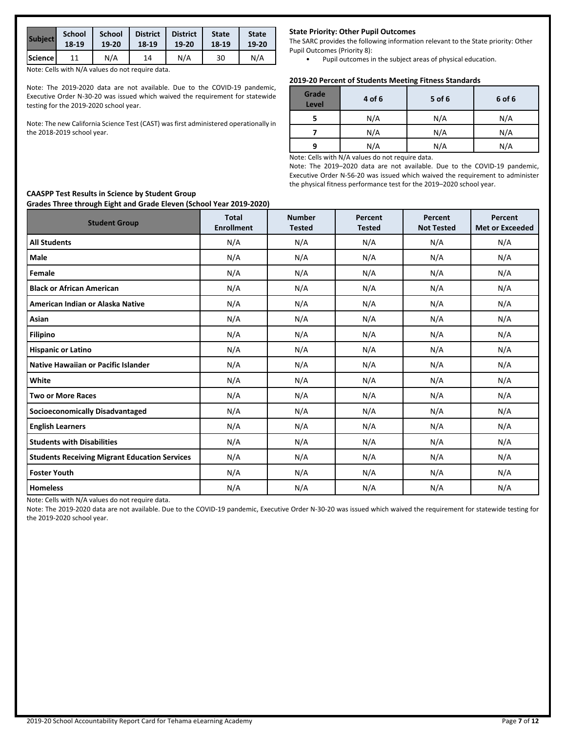| <b>Subject</b> | <b>School</b> | <b>School</b> | <b>District</b> | <b>District</b> | <b>State</b> | <b>State</b> |
|----------------|---------------|---------------|-----------------|-----------------|--------------|--------------|
|                | 18-19         | 19-20         | 18-19           | 19-20           | 18-19        | $19-20$      |
| Science        |               | N/A           | 14              | N/A             | 30           | N/A          |

Note: Cells with N/A values do not require data.

Note: The 2019-2020 data are not available. Due to the COVID-19 pandemic, Executive Order N-30-20 was issued which waived the requirement for statewide testing for the 2019-2020 school year.

Note: The new California Science Test (CAST) was first administered operationally in the 2018-2019 school year.

#### **State Priority: Other Pupil Outcomes**

The SARC provides the following information relevant to the State priority: Other Pupil Outcomes (Priority 8):

• Pupil outcomes in the subject areas of physical education.

### **2019-20 Percent of Students Meeting Fitness Standards**

| Grade<br><b>Level</b> | 4 of 6 | 5 of 6 | 6 of 6 |  |
|-----------------------|--------|--------|--------|--|
|                       | N/A    | N/A    | N/A    |  |
|                       | N/A    | N/A    | N/A    |  |
| q                     | N/A    | N/A    | N/A    |  |

Note: Cells with N/A values do not require data.

Note: The 2019–2020 data are not available. Due to the COVID-19 pandemic, Executive Order N-56-20 was issued which waived the requirement to administer the physical fitness performance test for the 2019–2020 school year.

| <b>Student Group</b>                                 | <b>Total</b><br><b>Enrollment</b> | <b>Number</b><br><b>Tested</b> | Percent<br><b>Tested</b> | Percent<br><b>Not Tested</b> | Percent<br><b>Met or Exceeded</b> |
|------------------------------------------------------|-----------------------------------|--------------------------------|--------------------------|------------------------------|-----------------------------------|
| <b>All Students</b>                                  | N/A                               | N/A                            | N/A                      | N/A                          | N/A                               |
| <b>Male</b>                                          | N/A                               | N/A                            | N/A                      | N/A                          | N/A                               |
| Female                                               | N/A                               | N/A                            | N/A                      | N/A                          | N/A                               |
| <b>Black or African American</b>                     | N/A                               | N/A                            | N/A                      | N/A                          | N/A                               |
| American Indian or Alaska Native                     | N/A                               | N/A                            | N/A                      | N/A                          | N/A                               |
| Asian                                                | N/A                               | N/A                            | N/A                      | N/A                          | N/A                               |
| <b>Filipino</b>                                      | N/A                               | N/A                            | N/A                      | N/A                          | N/A                               |
| <b>Hispanic or Latino</b>                            | N/A                               | N/A                            | N/A                      | N/A                          | N/A                               |
| <b>Native Hawaiian or Pacific Islander</b>           | N/A                               | N/A                            | N/A                      | N/A                          | N/A                               |
| White                                                | N/A                               | N/A                            | N/A                      | N/A                          | N/A                               |
| <b>Two or More Races</b>                             | N/A                               | N/A                            | N/A                      | N/A                          | N/A                               |
| <b>Socioeconomically Disadvantaged</b>               | N/A                               | N/A                            | N/A                      | N/A                          | N/A                               |
| <b>English Learners</b>                              | N/A                               | N/A                            | N/A                      | N/A                          | N/A                               |
| <b>Students with Disabilities</b>                    | N/A                               | N/A                            | N/A                      | N/A                          | N/A                               |
| <b>Students Receiving Migrant Education Services</b> | N/A                               | N/A                            | N/A                      | N/A                          | N/A                               |
| <b>Foster Youth</b>                                  | N/A                               | N/A                            | N/A                      | N/A                          | N/A                               |
| <b>Homeless</b>                                      | N/A                               | N/A                            | N/A                      | N/A                          | N/A                               |

Note: Cells with N/A values do not require data.

Note: The 2019-2020 data are not available. Due to the COVID-19 pandemic, Executive Order N-30-20 was issued which waived the requirement for statewide testing for the 2019-2020 school year.

# **CAASPP Test Results in Science by Student Group Grades Three through Eight and Grade Eleven (School Year 2019-2020)**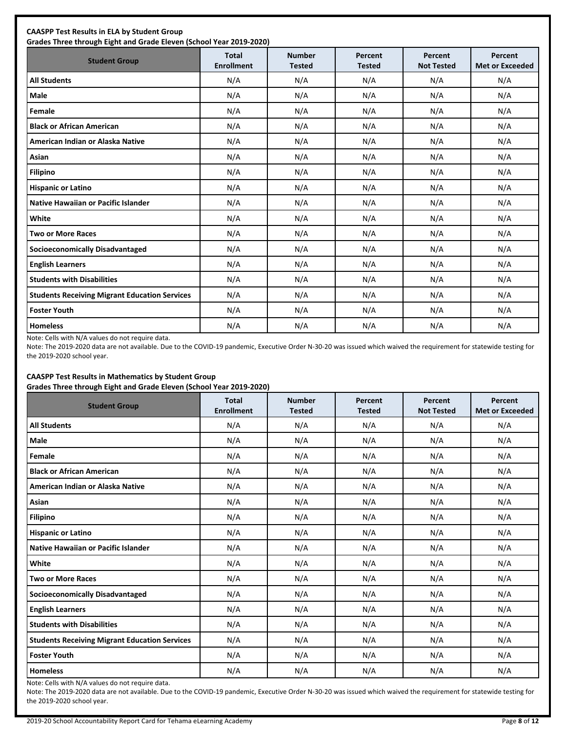| <b>CAASPP Test Results in ELA by Student Group</b><br>Grades Three through Eight and Grade Eleven (School Year 2019-2020) |                                   |                                |                          |                              |                                   |  |
|---------------------------------------------------------------------------------------------------------------------------|-----------------------------------|--------------------------------|--------------------------|------------------------------|-----------------------------------|--|
| <b>Student Group</b>                                                                                                      | <b>Total</b><br><b>Enrollment</b> | <b>Number</b><br><b>Tested</b> | Percent<br><b>Tested</b> | Percent<br><b>Not Tested</b> | Percent<br><b>Met or Exceeded</b> |  |
| <b>All Students</b>                                                                                                       | N/A                               | N/A                            | N/A                      | N/A                          | N/A                               |  |
| Male                                                                                                                      | N/A                               | N/A                            | N/A                      | N/A                          | N/A                               |  |
| Female                                                                                                                    | N/A                               | N/A                            | N/A                      | N/A                          | N/A                               |  |
| <b>Black or African American</b>                                                                                          | N/A                               | N/A                            | N/A                      | N/A                          | N/A                               |  |
| American Indian or Alaska Native                                                                                          | N/A                               | N/A                            | N/A                      | N/A                          | N/A                               |  |
| Asian                                                                                                                     | N/A                               | N/A                            | N/A                      | N/A                          | N/A                               |  |
| <b>Filipino</b>                                                                                                           | N/A                               | N/A                            | N/A                      | N/A                          | N/A                               |  |
| <b>Hispanic or Latino</b>                                                                                                 | N/A                               | N/A                            | N/A                      | N/A                          | N/A                               |  |
| Native Hawaiian or Pacific Islander                                                                                       | N/A                               | N/A                            | N/A                      | N/A                          | N/A                               |  |
| White                                                                                                                     | N/A                               | N/A                            | N/A                      | N/A                          | N/A                               |  |
| <b>Two or More Races</b>                                                                                                  | N/A                               | N/A                            | N/A                      | N/A                          | N/A                               |  |
| <b>Socioeconomically Disadvantaged</b>                                                                                    | N/A                               | N/A                            | N/A                      | N/A                          | N/A                               |  |
| <b>English Learners</b>                                                                                                   | N/A                               | N/A                            | N/A                      | N/A                          | N/A                               |  |
| <b>Students with Disabilities</b>                                                                                         | N/A                               | N/A                            | N/A                      | N/A                          | N/A                               |  |
| <b>Students Receiving Migrant Education Services</b>                                                                      | N/A                               | N/A                            | N/A                      | N/A                          | N/A                               |  |
| <b>Foster Youth</b>                                                                                                       | N/A                               | N/A                            | N/A                      | N/A                          | N/A                               |  |
| <b>Homeless</b>                                                                                                           | N/A                               | N/A                            | N/A                      | N/A                          | N/A                               |  |

Note: Cells with N/A values do not require data.

Note: The 2019-2020 data are not available. Due to the COVID-19 pandemic, Executive Order N-30-20 was issued which waived the requirement for statewide testing for the 2019-2020 school year.

#### **CAASPP Test Results in Mathematics by Student Group Grades Three through Eight and Grade Eleven (School Year 2019-2020)**

| <b>Student Group</b>                                 | <b>Total</b><br><b>Enrollment</b> | <b>Number</b><br><b>Tested</b> | Percent<br><b>Tested</b> | Percent<br><b>Not Tested</b> | Percent<br><b>Met or Exceeded</b> |
|------------------------------------------------------|-----------------------------------|--------------------------------|--------------------------|------------------------------|-----------------------------------|
| <b>All Students</b>                                  | N/A                               | N/A                            | N/A                      | N/A                          | N/A                               |
| <b>Male</b>                                          | N/A                               | N/A                            | N/A                      | N/A                          | N/A                               |
| Female                                               | N/A                               | N/A                            | N/A                      | N/A                          | N/A                               |
| <b>Black or African American</b>                     | N/A                               | N/A                            | N/A                      | N/A                          | N/A                               |
| American Indian or Alaska Native                     | N/A                               | N/A                            | N/A                      | N/A                          | N/A                               |
| Asian                                                | N/A                               | N/A                            | N/A                      | N/A                          | N/A                               |
| <b>Filipino</b>                                      | N/A                               | N/A                            | N/A                      | N/A                          | N/A                               |
| <b>Hispanic or Latino</b>                            | N/A                               | N/A                            | N/A                      | N/A                          | N/A                               |
| <b>Native Hawaiian or Pacific Islander</b>           | N/A                               | N/A                            | N/A                      | N/A                          | N/A                               |
| White                                                | N/A                               | N/A                            | N/A                      | N/A                          | N/A                               |
| <b>Two or More Races</b>                             | N/A                               | N/A                            | N/A                      | N/A                          | N/A                               |
| <b>Socioeconomically Disadvantaged</b>               | N/A                               | N/A                            | N/A                      | N/A                          | N/A                               |
| <b>English Learners</b>                              | N/A                               | N/A                            | N/A                      | N/A                          | N/A                               |
| <b>Students with Disabilities</b>                    | N/A                               | N/A                            | N/A                      | N/A                          | N/A                               |
| <b>Students Receiving Migrant Education Services</b> | N/A                               | N/A                            | N/A                      | N/A                          | N/A                               |
| <b>Foster Youth</b>                                  | N/A                               | N/A                            | N/A                      | N/A                          | N/A                               |
| <b>Homeless</b>                                      | N/A                               | N/A                            | N/A                      | N/A                          | N/A                               |

Note: Cells with N/A values do not require data.

Note: The 2019-2020 data are not available. Due to the COVID-19 pandemic, Executive Order N-30-20 was issued which waived the requirement for statewide testing for the 2019-2020 school year.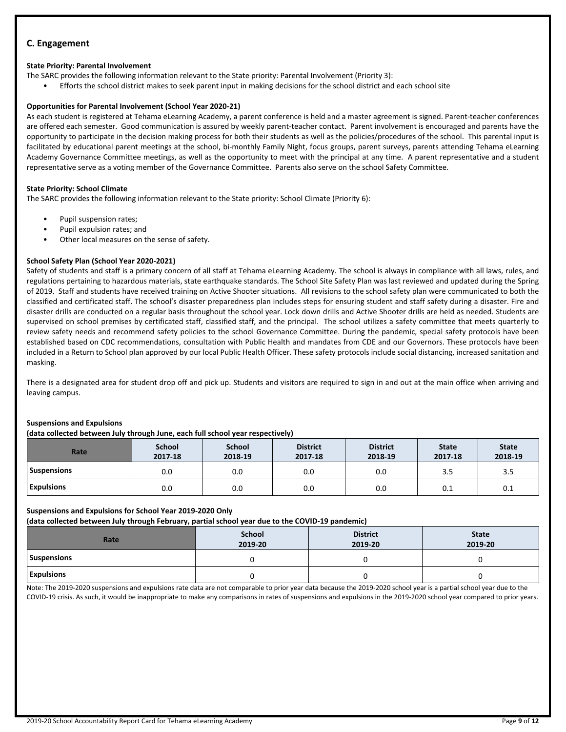# **C. Engagement**

#### **State Priority: Parental Involvement**

The SARC provides the following information relevant to the State priority: Parental Involvement (Priority 3):

• Efforts the school district makes to seek parent input in making decisions for the school district and each school site

#### **Opportunities for Parental Involvement (School Year 2020-21)**

As each student is registered at Tehama eLearning Academy, a parent conference is held and a master agreement is signed. Parent-teacher conferences are offered each semester. Good communication is assured by weekly parent-teacher contact. Parent involvement is encouraged and parents have the opportunity to participate in the decision making process for both their students as well as the policies/procedures of the school. This parental input is facilitated by educational parent meetings at the school, bi-monthly Family Night, focus groups, parent surveys, parents attending Tehama eLearning Academy Governance Committee meetings, as well as the opportunity to meet with the principal at any time. A parent representative and a student representative serve as a voting member of the Governance Committee. Parents also serve on the school Safety Committee.

#### **State Priority: School Climate**

The SARC provides the following information relevant to the State priority: School Climate (Priority 6):

- Pupil suspension rates;
- Pupil expulsion rates; and
- Other local measures on the sense of safety.

#### **School Safety Plan (School Year 2020-2021)**

Safety of students and staff is a primary concern of all staff at Tehama eLearning Academy. The school is always in compliance with all laws, rules, and regulations pertaining to hazardous materials, state earthquake standards. The School Site Safety Plan was last reviewed and updated during the Spring of 2019. Staff and students have received training on Active Shooter situations. All revisions to the school safety plan were communicated to both the classified and certificated staff. The school's disaster preparedness plan includes steps for ensuring student and staff safety during a disaster. Fire and disaster drills are conducted on a regular basis throughout the school year. Lock down drills and Active Shooter drills are held as needed. Students are supervised on school premises by certificated staff, classified staff, and the principal. The school utilizes a safety committee that meets quarterly to review safety needs and recommend safety policies to the school Governance Committee. During the pandemic, special safety protocols have been established based on CDC recommendations, consultation with Public Health and mandates from CDE and our Governors. These protocols have been included in a Return to School plan approved by our local Public Health Officer. These safety protocols include social distancing, increased sanitation and masking.

There is a designated area for student drop off and pick up. Students and visitors are required to sign in and out at the main office when arriving and leaving campus.

#### **Suspensions and Expulsions**

**(data collected between July through June, each full school year respectively)**

| Rate               | <b>School</b><br>2017-18 | <b>School</b><br>2018-19 | <b>District</b><br>2017-18 | <b>District</b><br>2018-19 | <b>State</b><br>2017-18 | <b>State</b><br>2018-19 |
|--------------------|--------------------------|--------------------------|----------------------------|----------------------------|-------------------------|-------------------------|
| <b>Suspensions</b> | 0.0                      | 0.0                      | 0.0                        | 0.0                        | 3.5                     | 3.5                     |
| <b>Expulsions</b>  | 0.0                      | 0.0                      | 0.0                        | 0.0                        | 0.1                     | 0.1                     |

#### **Suspensions and Expulsions for School Year 2019-2020 Only**

**(data collected between July through February, partial school year due to the COVID-19 pandemic)**

| Rate              | School<br>2019-20 | <b>District</b><br>2019-20 | <b>State</b><br>2019-20 |  |
|-------------------|-------------------|----------------------------|-------------------------|--|
| Suspensions       |                   |                            |                         |  |
| <b>Expulsions</b> |                   |                            |                         |  |

Note: The 2019-2020 suspensions and expulsions rate data are not comparable to prior year data because the 2019-2020 school year is a partial school year due to the COVID-19 crisis. As such, it would be inappropriate to make any comparisons in rates of suspensions and expulsions in the 2019-2020 school year compared to prior years.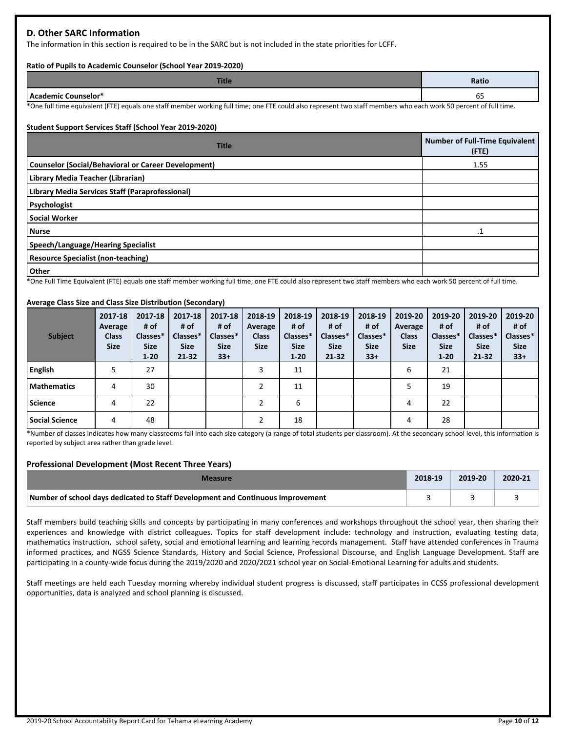# **D. Other SARC Information**

The information in this section is required to be in the SARC but is not included in the state priorities for LCFF.

#### **Ratio of Pupils to Academic Counselor (School Year 2019-2020)**

| .          | Ratio   |
|------------|---------|
| `ounselor* | --<br>ັ |

\*One full time equivalent (FTE) equals one staff member working full time; one FTE could also represent two staff members who each work 50 percent of full time.

#### **Student Support Services Staff (School Year 2019-2020)**

| <b>Title</b>                                               | <b>Number of Full-Time Equivalent</b><br>$($ FTE) |
|------------------------------------------------------------|---------------------------------------------------|
| <b>Counselor (Social/Behavioral or Career Development)</b> | 1.55                                              |
| Library Media Teacher (Librarian)                          |                                                   |
| Library Media Services Staff (Paraprofessional)            |                                                   |
| Psychologist                                               |                                                   |
| <b>Social Worker</b>                                       |                                                   |
| <b>Nurse</b>                                               |                                                   |
| Speech/Language/Hearing Specialist                         |                                                   |
| <b>Resource Specialist (non-teaching)</b>                  |                                                   |
| Other                                                      |                                                   |

\*One Full Time Equivalent (FTE) equals one staff member working full time; one FTE could also represent two staff members who each work 50 percent of full time.

#### **Average Class Size and Class Size Distribution (Secondary)**

| <b>Subject</b>        | 2017-18<br>Average<br><b>Class</b><br><b>Size</b> | 2017-18<br># of<br>Classes*<br><b>Size</b><br>$1 - 20$ | 2017-18<br># of<br>Classes*<br><b>Size</b><br>$21 - 32$ | 2017-18<br># of<br>Classes*<br><b>Size</b><br>$33+$ | 2018-19<br>Average<br><b>Class</b><br><b>Size</b> | 2018-19<br># of<br>Classes*<br><b>Size</b><br>$1 - 20$ | 2018-19<br># of<br>Classes*<br><b>Size</b><br>$21 - 32$ | 2018-19<br># of<br>Classes*<br><b>Size</b><br>$33+$ | 2019-20<br>Average<br><b>Class</b><br><b>Size</b> | 2019-20<br># of<br>Classes*<br><b>Size</b><br>$1 - 20$ | 2019-20<br># of<br>Classes*<br><b>Size</b><br>21-32 | 2019-20<br># of<br>Classes*<br><b>Size</b><br>$33+$ |
|-----------------------|---------------------------------------------------|--------------------------------------------------------|---------------------------------------------------------|-----------------------------------------------------|---------------------------------------------------|--------------------------------------------------------|---------------------------------------------------------|-----------------------------------------------------|---------------------------------------------------|--------------------------------------------------------|-----------------------------------------------------|-----------------------------------------------------|
| <b>English</b>        |                                                   | 27                                                     |                                                         |                                                     | 3                                                 | 11                                                     |                                                         |                                                     | 6                                                 | 21                                                     |                                                     |                                                     |
| <b>Mathematics</b>    | 4                                                 | 30                                                     |                                                         |                                                     | 2                                                 | 11                                                     |                                                         |                                                     |                                                   | 19                                                     |                                                     |                                                     |
| <b>Science</b>        | 4                                                 | 22                                                     |                                                         |                                                     | 2                                                 | 6                                                      |                                                         |                                                     | 4                                                 | 22                                                     |                                                     |                                                     |
| <b>Social Science</b> | 4                                                 | 48                                                     |                                                         |                                                     | ኀ                                                 | 18                                                     |                                                         |                                                     | 4                                                 | 28                                                     |                                                     |                                                     |

\*Number of classes indicates how many classrooms fall into each size category (a range of total students per classroom). At the secondary school level, this information is reported by subject area rather than grade level.

#### **Professional Development (Most Recent Three Years)**

| Measure                                                                         | 2018-19 | 2019-20 | 2020-21 |
|---------------------------------------------------------------------------------|---------|---------|---------|
| Number of school days dedicated to Staff Development and Continuous Improvement |         |         |         |

Staff members build teaching skills and concepts by participating in many conferences and workshops throughout the school year, then sharing their experiences and knowledge with district colleagues. Topics for staff development include: technology and instruction, evaluating testing data, mathematics instruction, school safety, social and emotional learning and learning records management. Staff have attended conferences in Trauma informed practices, and NGSS Science Standards, History and Social Science, Professional Discourse, and English Language Development. Staff are participating in a county-wide focus during the 2019/2020 and 2020/2021 school year on Social-Emotional Learning for adults and students.

Staff meetings are held each Tuesday morning whereby individual student progress is discussed, staff participates in CCSS professional development opportunities, data is analyzed and school planning is discussed.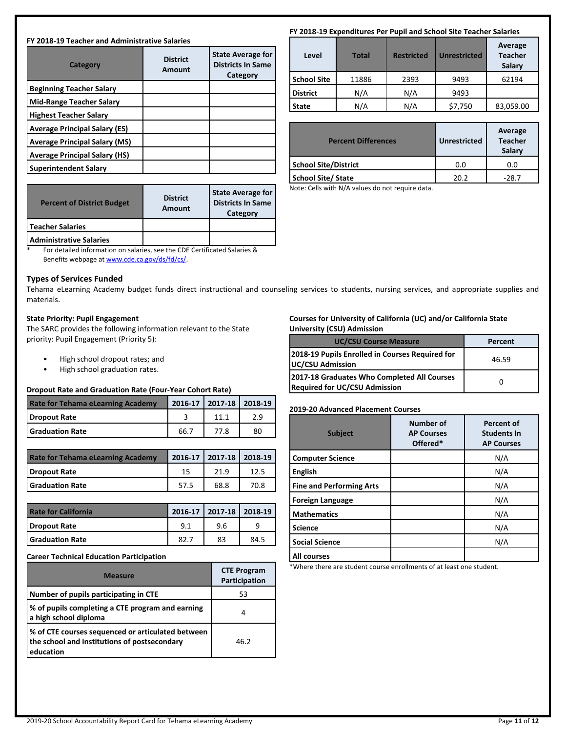#### **FY 2018-19 Teacher and Administrative Salaries**

| Category                             | <b>District</b><br>Amount | <b>State Average for</b><br><b>Districts In Same</b><br>Category |
|--------------------------------------|---------------------------|------------------------------------------------------------------|
| <b>Beginning Teacher Salary</b>      |                           |                                                                  |
| <b>Mid-Range Teacher Salary</b>      |                           |                                                                  |
| <b>Highest Teacher Salary</b>        |                           |                                                                  |
| <b>Average Principal Salary (ES)</b> |                           |                                                                  |
| <b>Average Principal Salary (MS)</b> |                           |                                                                  |
| <b>Average Principal Salary (HS)</b> |                           |                                                                  |
| <b>Superintendent Salary</b>         |                           |                                                                  |

| <b>Percent of District Budget</b> | <b>District</b><br>Amount | <b>State Average for</b><br><b>Districts In Same</b><br>Category |
|-----------------------------------|---------------------------|------------------------------------------------------------------|
| <b>Teacher Salaries</b>           |                           |                                                                  |
| l Administrative Salaries         |                           |                                                                  |

\* For detailed information on salaries, see the CDE Certificated Salaries & Benefits webpage at [www.cde.ca.gov/ds/fd/cs/](http://www.cde.ca.gov/ds/fd/cs/).

#### **Types of Services Funded**

Tehama eLearning Academy budget funds direct instructional and counseling services to students, nursing services, and appropriate supplies and materials.

#### **State Priority: Pupil Engagement**

The SARC provides the following information relevant to the State priority: Pupil Engagement (Priority 5):

- High school dropout rates; and
- High school graduation rates.

#### **Dropout Rate and Graduation Rate (Four-Year Cohort Rate)**

| <b>Rate for Tehama eLearning Academy</b> |      | 2016-17 2017-18 2018-19 |     |
|------------------------------------------|------|-------------------------|-----|
| Dropout Rate                             |      | 11.1                    | 2.9 |
| <b>Graduation Rate</b>                   | 66.7 | 77.8                    | 80  |

| <b>Rate for Tehama eLearning Academy</b> |      | 2016-17   2017-18   2018-19 |      |
|------------------------------------------|------|-----------------------------|------|
| Dropout Rate                             | 15   | 21.9                        | 12.5 |
| l Graduation Rate                        | 57.5 | 68.8                        | 70.8 |

| <b>Rate for California</b> |      | 2016-17 2017-18 2018-19 |      |
|----------------------------|------|-------------------------|------|
| Dropout Rate               | 91   | 9.6                     | a    |
| <b>Graduation Rate</b>     | 82.7 | 83                      | 84.5 |

#### **Career Technical Education Participation**

| <b>Measure</b>                                                                                                 | <b>CTE Program</b><br>Participation |
|----------------------------------------------------------------------------------------------------------------|-------------------------------------|
| Number of pupils participating in CTE                                                                          | 53                                  |
| % of pupils completing a CTE program and earning<br>a high school diploma                                      | 4                                   |
| % of CTE courses sequenced or articulated between<br>the school and institutions of postsecondary<br>education | 46.2                                |

#### **FY 2018-19 Expenditures Per Pupil and School Site Teacher Salaries**

| Level              | <b>Total</b> | <b>Restricted</b> | <b>Unrestricted</b> | Average<br><b>Teacher</b><br>Salary |
|--------------------|--------------|-------------------|---------------------|-------------------------------------|
| <b>School Site</b> | 11886        | 2393              | 9493                | 62194                               |
| <b>District</b>    | N/A          | N/A               | 9493                |                                     |
| <b>State</b>       | N/A          | N/A               | \$7,750             | 83,059.00                           |

| <b>Percent Differences</b>  | <b>Unrestricted</b> | Average<br><b>Teacher</b><br>Salary |
|-----------------------------|---------------------|-------------------------------------|
| <b>School Site/District</b> | 0.0                 | 0.0                                 |
| <b>School Site/ State</b>   | 20.2                | $-28.7$                             |

Note: Cells with N/A values do not require data.

#### **Courses for University of California (UC) and/or California State University (CSU) Admission**

| <b>UC/CSU Course Measure</b>                                                        | Percent |
|-------------------------------------------------------------------------------------|---------|
| 2018-19 Pupils Enrolled in Courses Required for<br>UC/CSU Admission                 | 46.59   |
| 2017-18 Graduates Who Completed All Courses<br><b>Required for UC/CSU Admission</b> |         |

#### **2019-20 Advanced Placement Courses**

| <b>Subject</b>                  | <b>Number of</b><br><b>AP Courses</b><br>Offered* | <b>Percent of</b><br><b>Students In</b><br><b>AP Courses</b> |
|---------------------------------|---------------------------------------------------|--------------------------------------------------------------|
| <b>Computer Science</b>         |                                                   | N/A                                                          |
| <b>English</b>                  |                                                   | N/A                                                          |
| <b>Fine and Performing Arts</b> |                                                   | N/A                                                          |
| <b>Foreign Language</b>         |                                                   | N/A                                                          |
| <b>Mathematics</b>              |                                                   | N/A                                                          |
| <b>Science</b>                  |                                                   | N/A                                                          |
| <b>Social Science</b>           |                                                   | N/A                                                          |
| <b>All courses</b>              |                                                   |                                                              |

\*Where there are student course enrollments of at least one student.